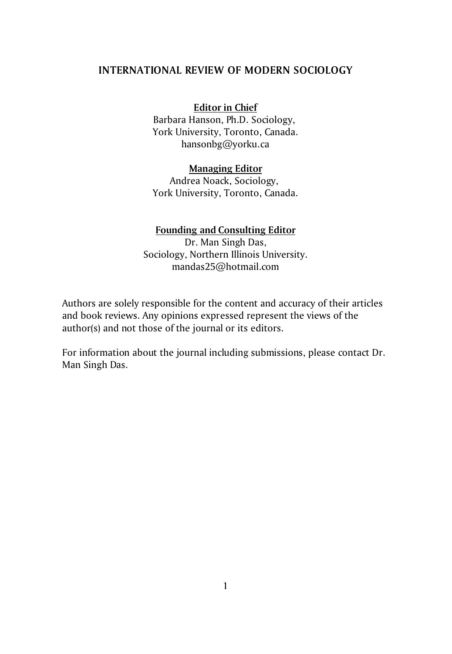## **INTERNATIONAL REVIEW OF MODERN SOCIOLOGY**

#### **Editor in Chief**

Barbara Hanson, Ph.D. Sociology, York University, Toronto, Canada. hansonbg@yorku.ca

#### **Managing Editor**

Andrea Noack, Sociology, York University, Toronto, Canada.

### **Founding and Consulting Editor**

Dr. Man Singh Das, Sociology, Northern Illinois University. mandas25@hotmail.com

Authors are solely responsible for the content and accuracy of their articles and book reviews. Any opinions expressed represent the views of the author(s) and not those of the journal or its editors.

For information about the journal including submissions, please contact Dr. Man Singh Das.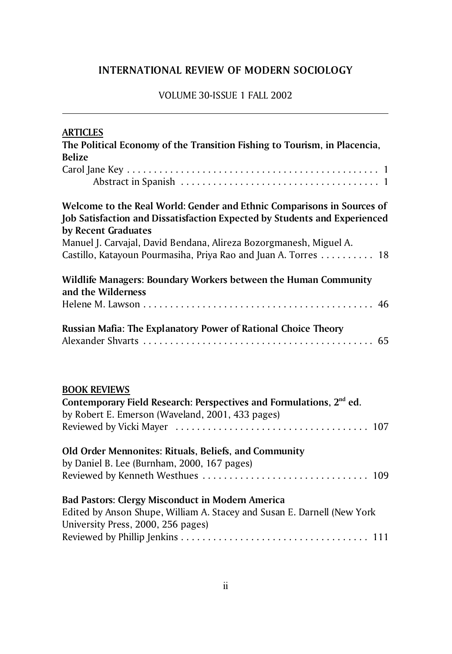# **INTERNATIONAL REVIEW OF MODERN SOCIOLOGY**

## VOLUME 30-ISSUE 1 FALL 2002

| <b>ARTICLES</b><br>The Political Economy of the Transition Fishing to Tourism, in Placencia,<br><b>Belize</b>                                                                                                                                                                                                      |
|--------------------------------------------------------------------------------------------------------------------------------------------------------------------------------------------------------------------------------------------------------------------------------------------------------------------|
| Welcome to the Real World: Gender and Ethnic Comparisons in Sources of<br>Job Satisfaction and Dissatisfaction Expected by Students and Experienced<br>by Recent Graduates<br>Manuel J. Carvajal, David Bendana, Alireza Bozorgmanesh, Miguel A.<br>Castillo, Katayoun Pourmasiha, Priya Rao and Juan A. Torres 18 |
| Wildlife Managers: Boundary Workers between the Human Community<br>and the Wilderness                                                                                                                                                                                                                              |
| <b>Russian Mafia: The Explanatory Power of Rational Choice Theory</b>                                                                                                                                                                                                                                              |
| <b>BOOK REVIEWS</b><br>Contemporary Field Research: Perspectives and Formulations, 2 <sup>nd</sup> ed.<br>by Robert E. Emerson (Waveland, 2001, 433 pages)                                                                                                                                                         |
| Old Order Mennonites: Rituals, Beliefs, and Community<br>by Daniel B. Lee (Burnham, 2000, 167 pages)                                                                                                                                                                                                               |
| <b>Bad Pastors: Clergy Misconduct in Modern America</b><br>Edited by Anson Shupe, William A. Stacey and Susan E. Darnell (New York<br>University Press, 2000, 256 pages)                                                                                                                                           |